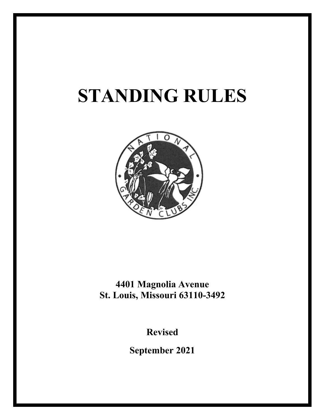# **STANDING RULES**



**4401 Magnolia Avenue St. Louis, Missouri 63110-3492** 

**Revised** 

**September 2021**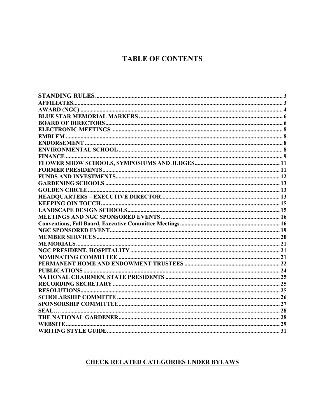# **TABLE OF CONTENTS**

## **CHECK RELATED CATEGORIES UNDER BYLAWS**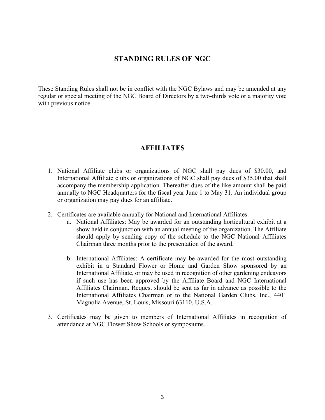## **STANDING RULES OF NGC**

These Standing Rules shall not be in conflict with the NGC Bylaws and may be amended at any regular or special meeting of the NGC Board of Directors by a two-thirds vote or a majority vote with previous notice.

# **AFFILIATES**

- 1. National Affiliate clubs or organizations of NGC shall pay dues of \$30.00, and International Affiliate clubs or organizations of NGC shall pay dues of \$35.00 that shall accompany the membership application. Thereafter dues of the like amount shall be paid annually to NGC Headquarters for the fiscal year June 1 to May 31. An individual group or organization may pay dues for an affiliate.
- 2. Certificates are available annually for National and International Affiliates.
	- a. National Affiliates: May be awarded for an outstanding horticultural exhibit at a show held in conjunction with an annual meeting of the organization. The Affiliate should apply by sending copy of the schedule to the NGC National Affiliates Chairman three months prior to the presentation of the award.
	- b. International Affiliates: A certificate may be awarded for the most outstanding exhibit in a Standard Flower or Home and Garden Show sponsored by an International Affiliate, or may be used in recognition of other gardening endeavors if such use has been approved by the Affiliate Board and NGC International Affiliates Chairman. Request should be sent as far in advance as possible to the International Affiliates Chairman or to the National Garden Clubs, Inc., 4401 Magnolia Avenue, St. Louis, Missouri 63110, U.S.A.
- 3. Certificates may be given to members of International Affiliates in recognition of attendance at NGC Flower Show Schools or symposiums.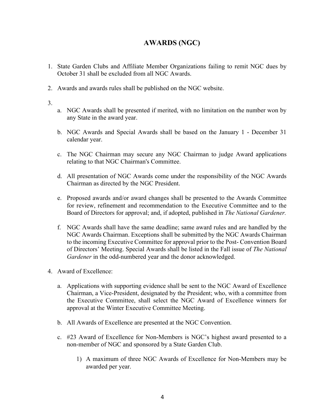# **AWARDS (NGC)**

- 1. State Garden Clubs and Affiliate Member Organizations failing to remit NGC dues by October 31 shall be excluded from all NGC Awards.
- 2. Awards and awards rules shall be published on the NGC website.

3.

- a. NGC Awards shall be presented if merited, with no limitation on the number won by any State in the award year.
- b. NGC Awards and Special Awards shall be based on the January 1 December 31 calendar year.
- c. The NGC Chairman may secure any NGC Chairman to judge Award applications relating to that NGC Chairman's Committee.
- d. All presentation of NGC Awards come under the responsibility of the NGC Awards Chairman as directed by the NGC President.
- e. Proposed awards and/or award changes shall be presented to the Awards Committee for review, refinement and recommendation to the Executive Committee and to the Board of Directors for approval; and, if adopted, published in *The National Gardener.*
- f. NGC Awards shall have the same deadline; same award rules and are handled by the NGC Awards Chairman. Exceptions shall be submitted by the NGC Awards Chairman to the incoming Executive Committee for approval prior to the Post- Convention Board of Directors' Meeting. Special Awards shall be listed in the Fall issue of *The National*  Gardener in the odd-numbered year and the donor acknowledged.
- 4. Award of Excellence:
	- a. Applications with supporting evidence shall be sent to the NGC Award of Excellence Chairman, a Vice-President, designated by the President; who, with a committee from the Executive Committee, shall select the NGC Award of Excellence winners for approval at the Winter Executive Committee Meeting.
	- b. All Awards of Excellence are presented at the NGC Convention.
	- c. #23 Award of Excellence for Non-Members is NGC's highest award presented to a non-member of NGC and sponsored by a State Garden Club.
		- 1) A maximum of three NGC Awards of Excellence for Non-Members may be awarded per year.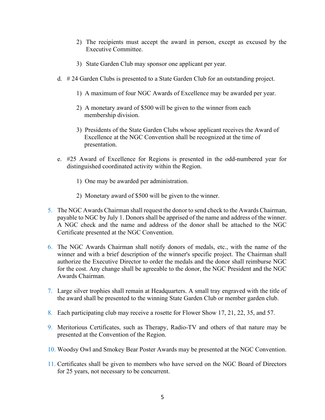- 2) The recipients must accept the award in person, except as excused by the Executive Committee.
- 3) State Garden Club may sponsor one applicant per year.
- d. # 24 Garden Clubs is presented to a State Garden Club for an outstanding project.
	- 1) A maximum of four NGC Awards of Excellence may be awarded per year.
	- 2) A monetary award of \$500 will be given to the winner from each membership division.
	- 3) Presidents of the State Garden Clubs whose applicant receives the Award of Excellence at the NGC Convention shall be recognized at the time of presentation.
- e. #25 Award of Excellence for Regions is presented in the odd-numbered year for distinguished coordinated activity within the Region.
	- 1) One may be awarded per administration.
	- 2) Monetary award of \$500 will be given to the winner.
- 5. The NGC Awards Chairman shall request the donor to send check to the Awards Chairman, payable to NGC by July 1. Donors shall be apprised of the name and address of the winner. A NGC check and the name and address of the donor shall be attached to the NGC Certificate presented at the NGC Convention.
- 6. The NGC Awards Chairman shall notify donors of medals, etc., with the name of the winner and with a brief description of the winner's specific project. The Chairman shall authorize the Executive Director to order the medals and the donor shall reimburse NGC for the cost. Any change shall be agreeable to the donor, the NGC President and the NGC Awards Chairman.
- 7. Large silver trophies shall remain at Headquarters. A small tray engraved with the title of the award shall be presented to the winning State Garden Club or member garden club.
- 8. Each participating club may receive a rosette for Flower Show 17, 21, 22, 35, and 57.
- 9. Meritorious Certificates, such as Therapy, Radio-TV and others of that nature may be presented at the Convention of the Region.
- 10. Woodsy Owl and Smokey Bear Poster Awards may be presented at the NGC Convention.
- 11. Certificates shall be given to members who have served on the NGC Board of Directors for 25 years, not necessary to be concurrent.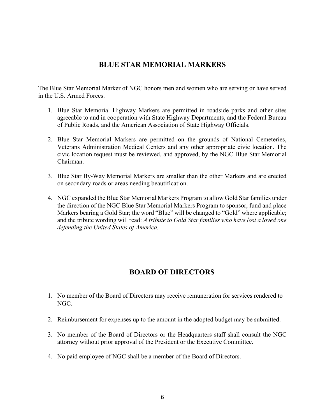# **BLUE STAR MEMORIAL MARKERS**

The Blue Star Memorial Marker of NGC honors men and women who are serving or have served in the U.S. Armed Forces.

- 1. Blue Star Memorial Highway Markers are permitted in roadside parks and other sites agreeable to and in cooperation with State Highway Departments, and the Federal Bureau of Public Roads, and the American Association of State Highway Officials.
- 2. Blue Star Memorial Markers are permitted on the grounds of National Cemeteries, Veterans Administration Medical Centers and any other appropriate civic location. The civic location request must be reviewed, and approved, by the NGC Blue Star Memorial Chairman.
- 3. Blue Star By-Way Memorial Markers are smaller than the other Markers and are erected on secondary roads or areas needing beautification.
- 4. NGC expanded the Blue Star Memorial Markers Program to allow Gold Star families under the direction of the NGC Blue Star Memorial Markers Program to sponsor, fund and place Markers bearing a Gold Star; the word "Blue" will be changed to "Gold" where applicable; and the tribute wording will read: *A tribute to Gold Star families who have lost a loved one defending the United States of America.*

# **BOARD OF DIRECTORS**

- 1. No member of the Board of Directors may receive remuneration for services rendered to NGC.
- 2. Reimbursement for expenses up to the amount in the adopted budget may be submitted.
- 3. No member of the Board of Directors or the Headquarters staff shall consult the NGC attorney without prior approval of the President or the Executive Committee.
- 4. No paid employee of NGC shall be a member of the Board of Directors.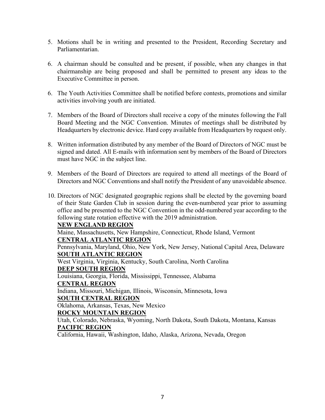- 5. Motions shall be in writing and presented to the President, Recording Secretary and Parliamentarian.
- 6. A chairman should be consulted and be present, if possible, when any changes in that chairmanship are being proposed and shall be permitted to present any ideas to the Executive Committee in person.
- 6. The Youth Activities Committee shall be notified before contests, promotions and similar activities involving youth are initiated.
- 7. Members of the Board of Directors shall receive a copy of the minutes following the Fall Board Meeting and the NGC Convention. Minutes of meetings shall be distributed by Headquarters by electronic device. Hard copy available from Headquarters by request only.
- 8. Written information distributed by any member of the Board of Directors of NGC must be signed and dated. All E-mails with information sent by members of the Board of Directors must have NGC in the subject line.
- 9. Members of the Board of Directors are required to attend all meetings of the Board of Directors and NGC Conventions and shall notify the President of any unavoidable absence.
- 10. Directors of NGC designated geographic regions shall be elected by the governing board of their State Garden Club in session during the even-numbered year prior to assuming office and be presented to the NGC Convention in the odd-numbered year according to the following state rotation effective with the 2019 administration.

## **NEW ENGLAND REGION**

Maine, Massachusetts, New Hampshire, Connecticut, Rhode Island, Vermont

#### **CENTRAL ATLANTIC REGION**

Pennsylvania, Maryland, Ohio, New York, New Jersey, National Capital Area, Delaware **SOUTH ATLANTIC REGION** 

West Virginia, Virginia, Kentucky, South Carolina, North Carolina **DEEP SOUTH REGION**  Louisiana, Georgia, Florida, Mississippi, Tennessee, Alabama

#### **CENTRAL REGION**

Indiana, Missouri, Michigan, Illinois, Wisconsin, Minnesota, Iowa **SOUTH CENTRAL REGION** 

Oklahoma, Arkansas, Texas, New Mexico

#### **ROCKY MOUNTAIN REGION**

Utah, Colorado, Nebraska, Wyoming, North Dakota, South Dakota, Montana, Kansas **PACIFIC REGION** 

California, Hawaii, Washington, Idaho, Alaska, Arizona, Nevada, Oregon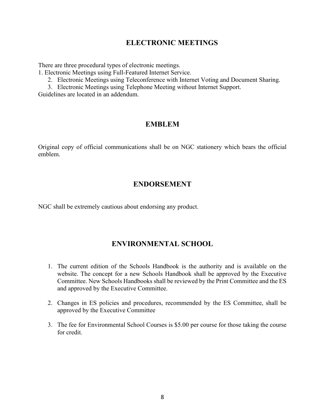## **ELECTRONIC MEETINGS**

There are three procedural types of electronic meetings.

1. Electronic Meetings using Full-Featured Internet Service.

- 2. Electronic Meetings using Teleconference with Internet Voting and Document Sharing.
- 3. Electronic Meetings using Telephone Meeting without Internet Support.

Guidelines are located in an addendum.

## **EMBLEM**

Original copy of official communications shall be on NGC stationery which bears the official emblem.

## **ENDORSEMENT**

NGC shall be extremely cautious about endorsing any product.

# **ENVIRONMENTAL SCHOOL**

- 1. The current edition of the Schools Handbook is the authority and is available on the website. The concept for a new Schools Handbook shall be approved by the Executive Committee. New Schools Handbooks shall be reviewed by the Print Committee and the ES and approved by the Executive Committee.
- 2. Changes in ES policies and procedures, recommended by the ES Committee, shall be approved by the Executive Committee
- 3. The fee for Environmental School Courses is \$5.00 per course for those taking the course for credit.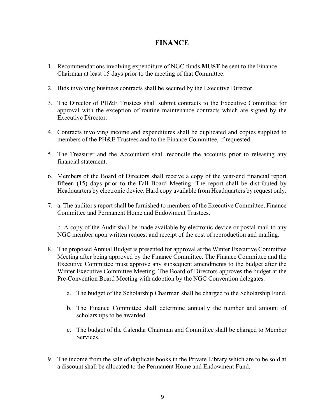# **FINANCE**

- 1. Recommendations involving expenditure of NGC funds **MUST** be sent to the Finance Chairman at least 15 days prior to the meeting of that Committee.
- 2. Bids involving business contracts shall be secured by the Executive Director.
- 3. The Director of PH&E Trustees shall submit contracts to the Executive Committee for approval with the exception of routine maintenance contracts which are signed by the Executive Director.
- 4. Contracts involving income and expenditures shall be duplicated and copies supplied to members of the PH&E Trustees and to the Finance Committee, if requested.
- 5. The Treasurer and the Accountant shall reconcile the accounts prior to releasing any financial statement.
- 6. Members of the Board of Directors shall receive a copy of the year-end financial report fifteen (15) days prior to the Fall Board Meeting. The report shall be distributed by Headquarters by electronic device. Hard copy available from Headquarters by request only.
- 7. a. The auditor's report shall be furnished to members of the Executive Committee, Finance Committee and Permanent Home and Endowment Trustees.

b. A copy of the Audit shall be made available by electronic device or postal mail to any NGC member upon written request and receipt of the cost of reproduction and mailing.

- 8. The proposed Annual Budget is presented for approval at the Winter Executive Committee Meeting after being approved by the Finance Committee. The Finance Committee and the Executive Committee must approve any subsequent amendments to the budget after the Winter Executive Committee Meeting. The Board of Directors approves the budget at the Pre-Convention Board Meeting with adoption by the NGC Convention delegates.
	- a. The budget of the Scholarship Chairman shall be charged to the Scholarship Fund.
	- b. The Finance Committee shall determine annually the number and amount of scholarships to be awarded.
	- c. The budget of the Calendar Chairman and Committee shall be charged to Member Services.
- 9. The income from the sale of duplicate books in the Private Library which are to be sold at a discount shall be allocated to the Permanent Home and Endowment Fund.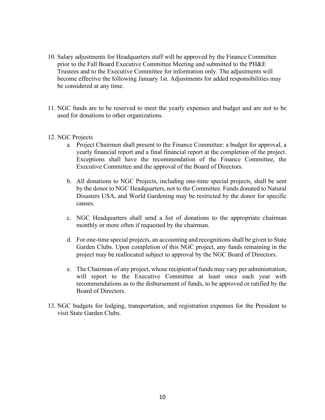- 10. Salary adjustments for Headquarters staff will be approved by the Finance Committee prior to the Fall Board Executive Committee Meeting and submitted to the PH&E Trustees and to the Executive Committee for information only. The adjustments will become effective the following January 1st. Adjustments for added responsibilities may be considered at any time.
- 11. NGC funds are to be reserved to meet the yearly expenses and budget and are not to be used for donations to other organizations.
- 12. NGC Projects
	- a. Project Chairmen shall present to the Finance Committee: a budget for approval, a yearly financial report and a final financial report at the completion of the project. Exceptions shall have the recommendation of the Finance Committee, the Executive Committee and the approval of the Board of Directors.
	- b. All donations to NGC Projects, including one-time special projects, shall be sent by the donor to NGC Headquarters, not to the Committee. Funds donated to Natural Disasters USA, and World Gardening may be restricted by the donor for specific causes.
	- c. NGC Headquarters shall send a list of donations to the appropriate chairman monthly or more often if requested by the chairman.
	- d. For one-time special projects, an accounting and recognitions shall be given to State Garden Clubs. Upon completion of this NGC project, any funds remaining in the project may be reallocated subject to approval by the NGC Board of Directors.
	- e. The Chairman of any project, whose recipient of funds may vary per administration, will report to the Executive Committee at least once each year with recommendations as to the disbursement of funds, to be approved or ratified by the Board of Directors.
- 13. NGC budgets for lodging, transportation, and registration expenses for the President to visit State Garden Clubs.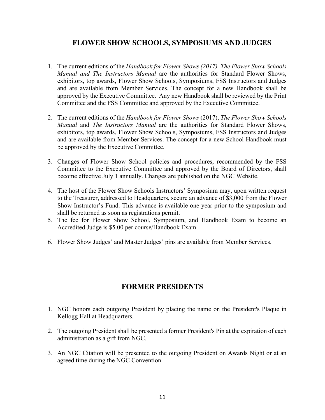# **FLOWER SHOW SCHOOLS, SYMPOSIUMS AND JUDGES**

- 1. The current editions of the *Handbook for Flower Shows (2017), The Flower Show Schools Manual and The Instructors Manual* are the authorities for Standard Flower Shows, exhibitors, top awards, Flower Show Schools, Symposiums, FSS Instructors and Judges and are available from Member Services. The concept for a new Handbook shall be approved by the Executive Committee. Any new Handbook shall be reviewed by the Print Committee and the FSS Committee and approved by the Executive Committee.
- 2. The current editions of the *Handbook for Flower Shows* (2017), *The Flower Show Schools Manual* and *The Instructors Manual* are the authorities for Standard Flower Shows, exhibitors, top awards, Flower Show Schools, Symposiums, FSS Instructors and Judges and are available from Member Services. The concept for a new School Handbook must be approved by the Executive Committee.
- 3. Changes of Flower Show School policies and procedures, recommended by the FSS Committee to the Executive Committee and approved by the Board of Directors, shall become effective July 1 annually. Changes are published on the NGC Website.
- 4. The host of the Flower Show Schools Instructors' Symposium may, upon written request to the Treasurer, addressed to Headquarters, secure an advance of \$3,000 from the Flower Show Instructor's Fund. This advance is available one year prior to the symposium and shall be returned as soon as registrations permit.
- 5. The fee for Flower Show School, Symposium, and Handbook Exam to become an Accredited Judge is \$5.00 per course/Handbook Exam.
- 6. Flower Show Judges' and Master Judges' pins are available from Member Services.

# **FORMER PRESIDENTS**

- 1. NGC honors each outgoing President by placing the name on the President's Plaque in Kellogg Hall at Headquarters.
- 2. The outgoing President shall be presented a former President's Pin at the expiration of each administration as a gift from NGC.
- 3. An NGC Citation will be presented to the outgoing President on Awards Night or at an agreed time during the NGC Convention.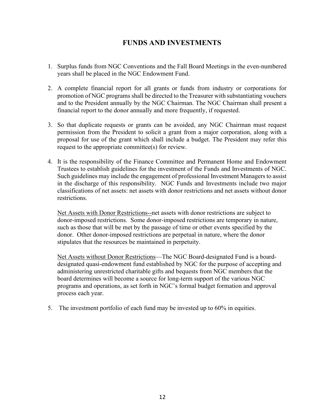# **FUNDS AND INVESTMENTS**

- 1. Surplus funds from NGC Conventions and the Fall Board Meetings in the even-numbered years shall be placed in the NGC Endowment Fund.
- 2. A complete financial report for all grants or funds from industry or corporations for promotion of NGC programs shall be directed to the Treasurer with substantiating vouchers and to the President annually by the NGC Chairman. The NGC Chairman shall present a financial report to the donor annually and more frequently, if requested.
- 3. So that duplicate requests or grants can be avoided, any NGC Chairman must request permission from the President to solicit a grant from a major corporation, along with a proposal for use of the grant which shall include a budget. The President may refer this request to the appropriate committee(s) for review.
- 4. It is the responsibility of the Finance Committee and Permanent Home and Endowment Trustees to establish guidelines for the investment of the Funds and Investments of NGC. Such guidelines may include the engagement of professional Investment Managers to assist in the discharge of this responsibility. NGC Funds and Investments include two major classifications of net assets: net assets with donor restrictions and net assets without donor restrictions.

Net Assets with Donor Restrictions--net assets with donor restrictions are subject to donor-imposed restrictions. Some donor-imposed restrictions are temporary in nature, such as those that will be met by the passage of time or other events specified by the donor. Other donor-imposed restrictions are perpetual in nature, where the donor stipulates that the resources be maintained in perpetuity.

Net Assets without Donor Restrictions—The NGC Board-designated Fund is a boarddesignated quasi-endowment fund established by NGC for the purpose of accepting and administering unrestricted charitable gifts and bequests from NGC members that the board determines will become a source for long-term support of the various NGC programs and operations, as set forth in NGC's formal budget formation and approval process each year.

5. The investment portfolio of each fund may be invested up to 60% in equities.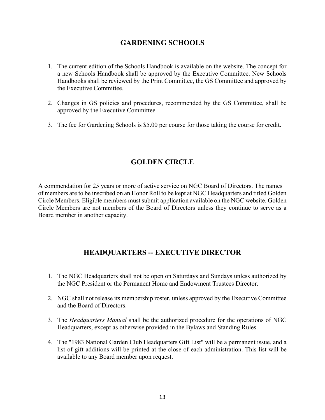# **GARDENING SCHOOLS**

- 1. The current edition of the Schools Handbook is available on the website. The concept for a new Schools Handbook shall be approved by the Executive Committee. New Schools Handbooks shall be reviewed by the Print Committee, the GS Committee and approved by the Executive Committee.
- 2. Changes in GS policies and procedures, recommended by the GS Committee, shall be approved by the Executive Committee.
- 3. The fee for Gardening Schools is \$5.00 per course for those taking the course for credit.

# **GOLDEN CIRCLE**

A commendation for 25 years or more of active service on NGC Board of Directors. The names of members are to be inscribed on an Honor Roll to be kept at NGC Headquarters and titled Golden Circle Members. Eligible members must submit application available on the NGC website. Golden Circle Members are not members of the Board of Directors unless they continue to serve as a Board member in another capacity.

# **HEADQUARTERS -- EXECUTIVE DIRECTOR**

- 1. The NGC Headquarters shall not be open on Saturdays and Sundays unless authorized by the NGC President or the Permanent Home and Endowment Trustees Director.
- 2. NGC shall not release its membership roster, unless approved by the Executive Committee and the Board of Directors.
- 3. The *Headquarters Manual* shall be the authorized procedure for the operations of NGC Headquarters, except as otherwise provided in the Bylaws and Standing Rules.
- 4. The "1983 National Garden Club Headquarters Gift List" will be a permanent issue, and a list of gift additions will be printed at the close of each administration. This list will be available to any Board member upon request.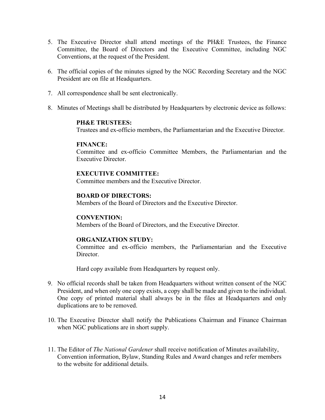- 5. The Executive Director shall attend meetings of the PH&E Trustees, the Finance Committee, the Board of Directors and the Executive Committee, including NGC Conventions, at the request of the President.
- 6. The official copies of the minutes signed by the NGC Recording Secretary and the NGC President are on file at Headquarters.
- 7. All correspondence shall be sent electronically.
- 8. Minutes of Meetings shall be distributed by Headquarters by electronic device as follows:

#### **PH&E TRUSTEES:**

Trustees and ex-officio members, the Parliamentarian and the Executive Director.

#### **FINANCE:**

Committee and ex-officio Committee Members, the Parliamentarian and the Executive Director.

#### **EXECUTIVE COMMITTEE:**

Committee members and the Executive Director.

#### **BOARD OF DIRECTORS:**

Members of the Board of Directors and the Executive Director.

#### **CONVENTION:**

Members of the Board of Directors, and the Executive Director.

#### **ORGANIZATION STUDY:**

Committee and ex-officio members, the Parliamentarian and the Executive Director.

Hard copy available from Headquarters by request only.

- 9. No official records shall be taken from Headquarters without written consent of the NGC President, and when only one copy exists, a copy shall be made and given to the individual. One copy of printed material shall always be in the files at Headquarters and only duplications are to be removed.
- 10. The Executive Director shall notify the Publications Chairman and Finance Chairman when NGC publications are in short supply.
- 11. The Editor of *The National Gardener* shall receive notification of Minutes availability, Convention information, Bylaw, Standing Rules and Award changes and refer members to the website for additional details.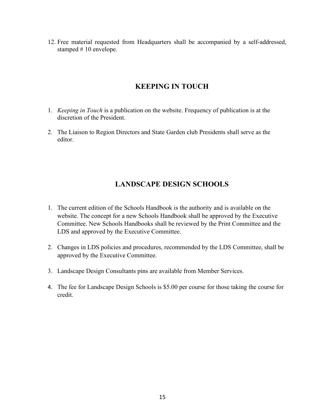12. Free material requested from Headquarters shall be accompanied by a self-addressed, stamped # 10 envelope.

# **KEEPING IN TOUCH**

- 1. *Keeping in Touch* is a publication on the website. Frequency of publication is at the discretion of the President.
- 2. The Liaison to Region Directors and State Garden club Presidents shall serve as the editor.

# **LANDSCAPE DESIGN SCHOOLS**

- 1. The current edition of the Schools Handbook is the authority and is available on the website. The concept for a new Schools Handbook shall be approved by the Executive Committee. New Schools Handbooks shall be reviewed by the Print Committee and the LDS and approved by the Executive Committee.
- 2. Changes in LDS policies and procedures, recommended by the LDS Committee, shall be approved by the Executive Committee.
- 3. Landscape Design Consultants pins are available from Member Services.
- 4. The fee for Landscape Design Schools is \$5.00 per course for those taking the course for credit.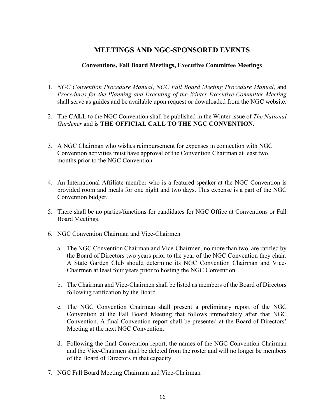# **MEETINGS AND NGC-SPONSORED EVENTS**

#### **Conventions, Fall Board Meetings, Executive Committee Meetings**

- 1. *NGC Convention Procedure Manual*, *NGC Fall Board Meeting Procedure Manual*, and *Procedures for the Planning and Executing of the Winter Executive Committee Meeting*  shall serve as guides and be available upon request or downloaded from the NGC website.
- 2. The **CALL** to the NGC Convention shall be published in the Winter issue of *The National Gardener* and is **THE OFFICIAL CALL TO THE NGC CONVENTION.**
- 3. A NGC Chairman who wishes reimbursement for expenses in connection with NGC Convention activities must have approval of the Convention Chairman at least two months prior to the NGC Convention.
- 4. An International Affiliate member who is a featured speaker at the NGC Convention is provided room and meals for one night and two days. This expense is a part of the NGC Convention budget.
- 5. There shall be no parties/functions for candidates for NGC Office at Conventions or Fall Board Meetings.
- 6. NGC Convention Chairman and Vice-Chairmen
	- a. The NGC Convention Chairman and Vice-Chairmen, no more than two, are ratified by the Board of Directors two years prior to the year of the NGC Convention they chair. A State Garden Club should determine its NGC Convention Chairman and Vice-Chairmen at least four years prior to hosting the NGC Convention.
	- b. The Chairman and Vice-Chairmen shall be listed as members of the Board of Directors following ratification by the Board.
	- c. The NGC Convention Chairman shall present a preliminary report of the NGC Convention at the Fall Board Meeting that follows immediately after that NGC Convention. A final Convention report shall be presented at the Board of Directors' Meeting at the next NGC Convention.
	- d. Following the final Convention report, the names of the NGC Convention Chairman and the Vice-Chairmen shall be deleted from the roster and will no longer be members of the Board of Directors in that capacity.
- 7. NGC Fall Board Meeting Chairman and Vice-Chairman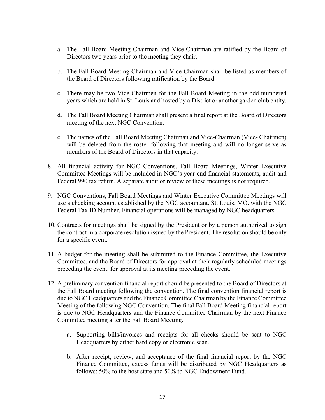- a. The Fall Board Meeting Chairman and Vice-Chairman are ratified by the Board of Directors two years prior to the meeting they chair.
- b. The Fall Board Meeting Chairman and Vice-Chairman shall be listed as members of the Board of Directors following ratification by the Board.
- c. There may be two Vice-Chairmen for the Fall Board Meeting in the odd-numbered years which are held in St. Louis and hosted by a District or another garden club entity.
- d. The Fall Board Meeting Chairman shall present a final report at the Board of Directors meeting of the next NGC Convention.
- e. The names of the Fall Board Meeting Chairman and Vice-Chairman (Vice- Chairmen) will be deleted from the roster following that meeting and will no longer serve as members of the Board of Directors in that capacity.
- 8. All financial activity for NGC Conventions, Fall Board Meetings, Winter Executive Committee Meetings will be included in NGC's year-end financial statements, audit and Federal 990 tax return. A separate audit or review of these meetings is not required.
- 9. NGC Conventions, Fall Board Meetings and Winter Executive Committee Meetings will use a checking account established by the NGC accountant, St. Louis, MO. with the NGC Federal Tax ID Number. Financial operations will be managed by NGC headquarters.
- 10. Contracts for meetings shall be signed by the President or by a person authorized to sign the contract in a corporate resolution issued by the President. The resolution should be only for a specific event.
- 11. A budget for the meeting shall be submitted to the Finance Committee, the Executive Committee, and the Board of Directors for approval at their regularly scheduled meetings preceding the event. for approval at its meeting preceding the event.
- 12. A preliminary convention financial report should be presented to the Board of Directors at the Fall Board meeting following the convention. The final convention financial report is due to NGC Headquarters and the Finance Committee Chairman by the Finance Committee Meeting of the following NGC Convention. The final Fall Board Meeting financial report is due to NGC Headquarters and the Finance Committee Chairman by the next Finance Committee meeting after the Fall Board Meeting.
	- a. Supporting bills/invoices and receipts for all checks should be sent to NGC Headquarters by either hard copy or electronic scan.
	- b. After receipt, review, and acceptance of the final financial report by the NGC Finance Committee, excess funds will be distributed by NGC Headquarters as follows: 50% to the host state and 50% to NGC Endowment Fund.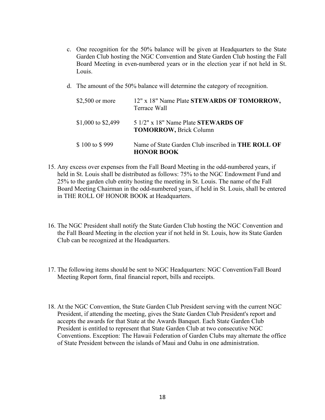- c. One recognition for the 50% balance will be given at Headquarters to the State Garden Club hosting the NGC Convention and State Garden Club hosting the Fall Board Meeting in even-numbered years or in the election year if not held in St. Louis.
- d. The amount of the 50% balance will determine the category of recognition.

| $$2,500$ or more   | 12" x 18" Name Plate STEWARDS OF TOMORROW,<br>Terrace Wall              |
|--------------------|-------------------------------------------------------------------------|
| \$1,000 to \$2,499 | 5 1/2" x 18" Name Plate STEWARDS OF<br><b>TOMORROW</b> , Brick Column   |
| \$100 to \$999     | Name of State Garden Club inscribed in THE ROLL OF<br><b>HONOR BOOK</b> |

- 15. Any excess over expenses from the Fall Board Meeting in the odd-numbered years, if held in St. Louis shall be distributed as follows: 75% to the NGC Endowment Fund and 25% to the garden club entity hosting the meeting in St. Louis. The name of the Fall Board Meeting Chairman in the odd-numbered years, if held in St. Louis, shall be entered in THE ROLL OF HONOR BOOK at Headquarters.
- 16. The NGC President shall notify the State Garden Club hosting the NGC Convention and the Fall Board Meeting in the election year if not held in St. Louis, how its State Garden Club can be recognized at the Headquarters.
- 17. The following items should be sent to NGC Headquarters: NGC Convention/Fall Board Meeting Report form, final financial report, bills and receipts.
- 18. At the NGC Convention, the State Garden Club President serving with the current NGC President, if attending the meeting, gives the State Garden Club President's report and accepts the awards for that State at the Awards Banquet. Each State Garden Club President is entitled to represent that State Garden Club at two consecutive NGC Conventions. Exception: The Hawaii Federation of Garden Clubs may alternate the office of State President between the islands of Maui and Oahu in one administration.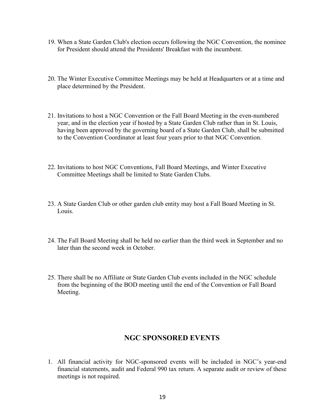- 19. When a State Garden Club's election occurs following the NGC Convention, the nominee for President should attend the Presidents' Breakfast with the incumbent.
- 20. The Winter Executive Committee Meetings may be held at Headquarters or at a time and place determined by the President.
- 21. Invitations to host a NGC Convention or the Fall Board Meeting in the even-numbered year, and in the election year if hosted by a State Garden Club rather than in St. Louis, having been approved by the governing board of a State Garden Club, shall be submitted to the Convention Coordinator at least four years prior to that NGC Convention.
- 22. Invitations to host NGC Conventions, Fall Board Meetings, and Winter Executive Committee Meetings shall be limited to State Garden Clubs.
- 23. A State Garden Club or other garden club entity may host a Fall Board Meeting in St. Louis.
- 24. The Fall Board Meeting shall be held no earlier than the third week in September and no later than the second week in October.
- 25. There shall be no Affiliate or State Garden Club events included in the NGC schedule from the beginning of the BOD meeting until the end of the Convention or Fall Board Meeting.

# **NGC SPONSORED EVENTS**

1. All financial activity for NGC-sponsored events will be included in NGC's year-end financial statements, audit and Federal 990 tax return. A separate audit or review of these meetings is not required.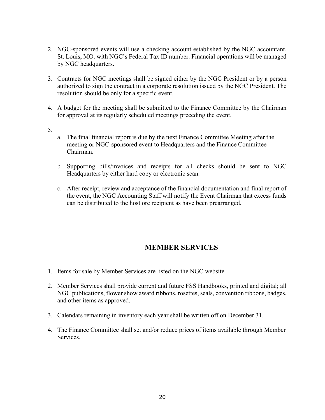- 2. NGC-sponsored events will use a checking account established by the NGC accountant, St. Louis, MO. with NGC's Federal Tax ID number. Financial operations will be managed by NGC headquarters.
- 3. Contracts for NGC meetings shall be signed either by the NGC President or by a person authorized to sign the contract in a corporate resolution issued by the NGC President. The resolution should be only for a specific event.
- 4. A budget for the meeting shall be submitted to the Finance Committee by the Chairman for approval at its regularly scheduled meetings preceding the event.
- 5.
- a. The final financial report is due by the next Finance Committee Meeting after the meeting or NGC-sponsored event to Headquarters and the Finance Committee Chairman.
- b. Supporting bills/invoices and receipts for all checks should be sent to NGC Headquarters by either hard copy or electronic scan.
- c. After receipt, review and acceptance of the financial documentation and final report of the event, the NGC Accounting Staff will notify the Event Chairman that excess funds can be distributed to the host ore recipient as have been prearranged.

# **MEMBER SERVICES**

- 1. Items for sale by Member Services are listed on the NGC website.
- 2. Member Services shall provide current and future FSS Handbooks, printed and digital; all NGC publications, flower show award ribbons, rosettes, seals, convention ribbons, badges, and other items as approved.
- 3. Calendars remaining in inventory each year shall be written off on December 31.
- 4. The Finance Committee shall set and/or reduce prices of items available through Member Services.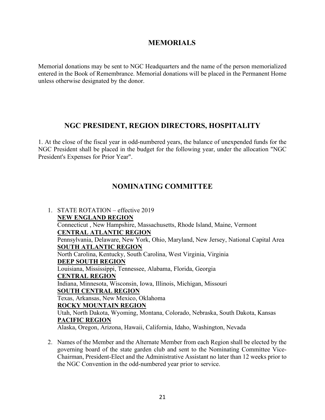## **MEMORIALS**

Memorial donations may be sent to NGC Headquarters and the name of the person memorialized entered in the Book of Remembrance. Memorial donations will be placed in the Permanent Home unless otherwise designated by the donor.

## **NGC PRESIDENT, REGION DIRECTORS, HOSPITALITY**

1. At the close of the fiscal year in odd-numbered years, the balance of unexpended funds for the NGC President shall be placed in the budget for the following year, under the allocation "NGC President's Expenses for Prior Year".

# **NOMINATING COMMITTEE**

|                                                                                                   | 1. STATE ROTATION – effective 2019                                             |  |  |  |  |  |  |
|---------------------------------------------------------------------------------------------------|--------------------------------------------------------------------------------|--|--|--|--|--|--|
|                                                                                                   | <b>NEW ENGLAND REGION</b>                                                      |  |  |  |  |  |  |
|                                                                                                   | Connecticut, New Hampshire, Massachusetts, Rhode Island, Maine, Vermont        |  |  |  |  |  |  |
| <b>CENTRAL ATLANTIC REGION</b>                                                                    |                                                                                |  |  |  |  |  |  |
| Pennsylvania, Delaware, New York, Ohio, Maryland, New Jersey, National Capital Area               |                                                                                |  |  |  |  |  |  |
| <b>SOUTH ATLANTIC REGION</b><br>North Carolina, Kentucky, South Carolina, West Virginia, Virginia |                                                                                |  |  |  |  |  |  |
|                                                                                                   |                                                                                |  |  |  |  |  |  |
| Louisiana, Mississippi, Tennessee, Alabama, Florida, Georgia                                      |                                                                                |  |  |  |  |  |  |
|                                                                                                   | <b>CENTRAL REGION</b>                                                          |  |  |  |  |  |  |
|                                                                                                   | Indiana, Minnesota, Wisconsin, Iowa, Illinois, Michigan, Missouri              |  |  |  |  |  |  |
|                                                                                                   | <b>SOUTH CENTRAL REGION</b>                                                    |  |  |  |  |  |  |
|                                                                                                   | Texas, Arkansas, New Mexico, Oklahoma                                          |  |  |  |  |  |  |
|                                                                                                   | <b>ROCKY MOUNTAIN REGION</b>                                                   |  |  |  |  |  |  |
|                                                                                                   | Utah, North Dakota, Wyoming, Montana, Colorado, Nebraska, South Dakota, Kansas |  |  |  |  |  |  |
|                                                                                                   | <b>PACIFIC REGION</b>                                                          |  |  |  |  |  |  |
|                                                                                                   | Alaska, Oregon, Arizona, Hawaii, California, Idaho, Washington, Nevada         |  |  |  |  |  |  |
|                                                                                                   |                                                                                |  |  |  |  |  |  |

2. Names of the Member and the Alternate Member from each Region shall be elected by the governing board of the state garden club and sent to the Nominating Committee Vice-Chairman, President-Elect and the Administrative Assistant no later than 12 weeks prior to the NGC Convention in the odd-numbered year prior to service.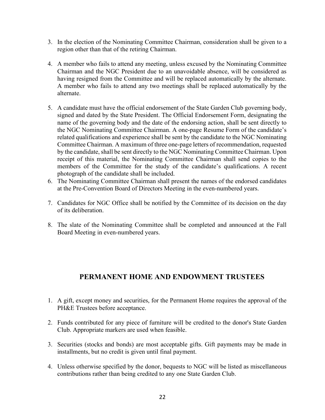- 3. In the election of the Nominating Committee Chairman, consideration shall be given to a region other than that of the retiring Chairman.
- 4. A member who fails to attend any meeting, unless excused by the Nominating Committee Chairman and the NGC President due to an unavoidable absence, will be considered as having resigned from the Committee and will be replaced automatically by the alternate. A member who fails to attend any two meetings shall be replaced automatically by the alternate.
- 5. A candidate must have the official endorsement of the State Garden Club governing body, signed and dated by the State President. The Official Endorsement Form, designating the name of the governing body and the date of the endorsing action, shall be sent directly to the NGC Nominating Committee Chairman. A one-page Resume Form of the candidate's related qualifications and experience shall be sent by the candidate to the NGC Nominating Committee Chairman. A maximum of three one-page letters of recommendation, requested by the candidate, shall be sent directly to the NGC Nominating Committee Chairman. Upon receipt of this material, the Nominating Committee Chairman shall send copies to the members of the Committee for the study of the candidate's qualifications. A recent photograph of the candidate shall be included.
- 6. The Nominating Committee Chairman shall present the names of the endorsed candidates at the Pre-Convention Board of Directors Meeting in the even-numbered years.
- 7. Candidates for NGC Office shall be notified by the Committee of its decision on the day of its deliberation.
- 8. The slate of the Nominating Committee shall be completed and announced at the Fall Board Meeting in even-numbered years.

# **PERMANENT HOME AND ENDOWMENT TRUSTEES**

- 1. A gift, except money and securities, for the Permanent Home requires the approval of the PH&E Trustees before acceptance.
- 2. Funds contributed for any piece of furniture will be credited to the donor's State Garden Club. Appropriate markers are used when feasible.
- 3. Securities (stocks and bonds) are most acceptable gifts. Gift payments may be made in installments, but no credit is given until final payment.
- 4. Unless otherwise specified by the donor, bequests to NGC will be listed as miscellaneous contributions rather than being credited to any one State Garden Club.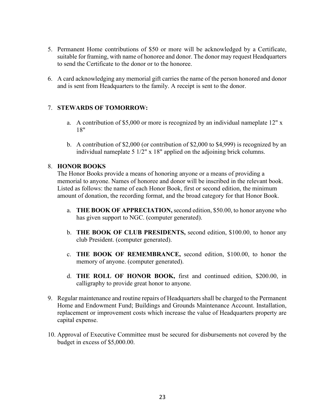- 5. Permanent Home contributions of \$50 or more will be acknowledged by a Certificate, suitable for framing, with name of honoree and donor. The donor may request Headquarters to send the Certificate to the donor or to the honoree.
- 6. A card acknowledging any memorial gift carries the name of the person honored and donor and is sent from Headquarters to the family. A receipt is sent to the donor.

## 7. **STEWARDS OF TOMORROW:**

- a. A contribution of \$5,000 or more is recognized by an individual nameplate 12" x 18"
- b. A contribution of \$2,000 (or contribution of \$2,000 to \$4,999) is recognized by an individual nameplate 5 1/2" x 18" applied on the adjoining brick columns.

#### 8. **HONOR BOOKS**

The Honor Books provide a means of honoring anyone or a means of providing a memorial to anyone. Names of honoree and donor will be inscribed in the relevant book. Listed as follows: the name of each Honor Book, first or second edition, the minimum amount of donation, the recording format, and the broad category for that Honor Book.

- a. **THE BOOK OF APPRECIATION,** second edition, \$50.00, to honor anyone who has given support to NGC. (computer generated).
- b. **THE BOOK OF CLUB PRESIDENTS,** second edition, \$100.00, to honor any club President. (computer generated).
- c. **THE BOOK OF REMEMBRANCE,** second edition, \$100.00, to honor the memory of anyone. (computer generated).
- d. **THE ROLL OF HONOR BOOK,** first and continued edition, \$200.00, in calligraphy to provide great honor to anyone.
- 9. Regular maintenance and routine repairs of Headquarters shall be charged to the Permanent Home and Endowment Fund; Buildings and Grounds Maintenance Account. Installation, replacement or improvement costs which increase the value of Headquarters property are capital expense.
- 10. Approval of Executive Committee must be secured for disbursements not covered by the budget in excess of \$5,000.00.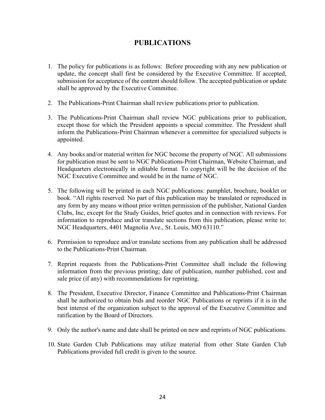# **PUBLICATIONS**

- 1. The policy for publications is as follows: Before proceeding with any new publication or update, the concept shall first be considered by the Executive Committee. If accepted, submission for acceptance of the content should follow. The accepted publication or update shall be approved by the Executive Committee.
- 2. The Publications-Print Chairman shall review publications prior to publication.
- 3. The Publications-Print Chairman shall review NGC publications prior to publication, except those for which the President appoints a special committee. The President shall inform the Publications-Print Chairman whenever a committee for specialized subjects is appointed.
- 4. Any books and/or material written for NGC become the property of NGC. All submissions for publication must be sent to NGC Publications-Print Chairman, Website Chairman, and Headquarters electronically in editable format. To copyright will be the decision of the NGC Executive Committee and would be in the name of NGC.
- 5. The following will be printed in each NGC publications: pamphlet, brochure, booklet or book. "All rights reserved. No part of this publication may be translated or reproduced in any form by any means without prior written permission of the publisher, National Garden Clubs, Inc, except for the Study Guides, brief quotes and in connection with reviews. For information to reproduce and/or translate sections from this publication, please write to: NGC Headquarters, 4401 Magnolia Ave., St. Louis, MO 63110."
- 6. Permission to reproduce and/or translate sections from any publication shall be addressed to the Publications-Print Chairman.
- 7. Reprint requests from the Publications-Print Committee shall include the following information from the previous printing; date of publication, number published, cost and sale price (if any) with recommendations for reprinting.
- 8. The President, Executive Director, Finance Committee and Publications-Print Chairman shall be authorized to obtain bids and reorder NGC Publications or reprints if it is in the best interest of the organization subject to the approval of the Executive Committee and ratification by the Board of Directors.
- 9. Only the author's name and date shall be printed on new and reprints of NGC publications.
- 10. State Garden Club Publications may utilize material from other State Garden Club Publications provided full credit is given to the source.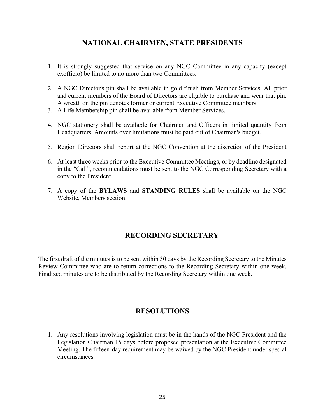# **NATIONAL CHAIRMEN, STATE PRESIDENTS**

- 1. It is strongly suggested that service on any NGC Committee in any capacity (except exofficio) be limited to no more than two Committees.
- 2. A NGC Director's pin shall be available in gold finish from Member Services. All prior and current members of the Board of Directors are eligible to purchase and wear that pin. A wreath on the pin denotes former or current Executive Committee members.
- 3. A Life Membership pin shall be available from Member Services.
- 4. NGC stationery shall be available for Chairmen and Officers in limited quantity from Headquarters. Amounts over limitations must be paid out of Chairman's budget.
- 5. Region Directors shall report at the NGC Convention at the discretion of the President
- 6. At least three weeks prior to the Executive Committee Meetings, or by deadline designated in the "Call", recommendations must be sent to the NGC Corresponding Secretary with a copy to the President.
- 7. A copy of the **BYLAWS** and **STANDING RULES** shall be available on the NGC Website, Members section.

# **RECORDING SECRETARY**

The first draft of the minutes is to be sent within 30 days by the Recording Secretary to the Minutes Review Committee who are to return corrections to the Recording Secretary within one week. Finalized minutes are to be distributed by the Recording Secretary within one week.

## **RESOLUTIONS**

1. Any resolutions involving legislation must be in the hands of the NGC President and the Legislation Chairman 15 days before proposed presentation at the Executive Committee Meeting. The fifteen-day requirement may be waived by the NGC President under special circumstances.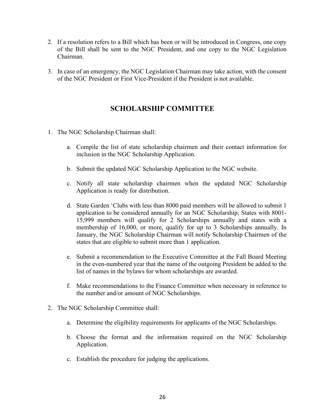- 2. If a resolution refers to a Bill which has been or will be introduced in Congress, one copy of the Bill shall be sent to the NGC President, and one copy to the NGC Legislation Chairman.
- 3. In case of an emergency, the NGC Legislation Chairman may take action, with the consent of the NGC President or First Vice-President if the President is not available.

# **SCHOLARSHIP COMMITTEE**

- 1. The NGC Scholarship Chairman shall:
	- a. Compile the list of state scholarship chairmen and their contact information for inclusion in the NGC Scholarship Application.
	- b. Submit the updated NGC Scholarship Application to the NGC website.
	- c. Notify all state scholarship chairmen when the updated NGC Scholarship Application is ready for distribution.
	- d. State Garden 'Clubs with less than 8000 paid members will be allowed to submit 1 application to be considered annually for an NGC Scholarship; States with 8001- 15,999 members will qualify for 2 Scholarships annually and states with a membership of 16,000, or more, qualify for up to 3 Scholarships annually. In January, the NGC Scholarship Chairman will notify Scholarship Chairmen of the states that are eligible to submit more than 1 application.
	- e. Submit a recommendation to the Executive Committee at the Fall Board Meeting in the even-numbered year that the name of the outgoing President be added to the list of names in the bylaws for whom scholarships are awarded.
	- f. Make recommendations to the Finance Committee when necessary in reference to the number and/or amount of NGC Scholarships.
- 2. The NGC Scholarship Committee shall:
	- a. Determine the eligibility requirements for applicants of the NGC Scholarships.
	- b. Choose the format and the information required on the NGC Scholarship Application.
	- c. Establish the procedure for judging the applications.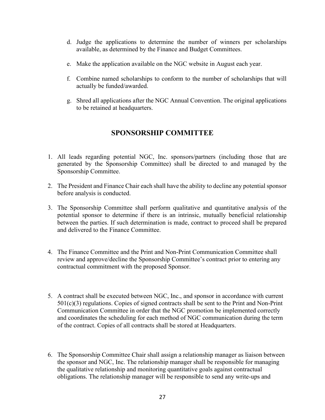- d. Judge the applications to determine the number of winners per scholarships available, as determined by the Finance and Budget Committees.
- e. Make the application available on the NGC website in August each year.
- f. Combine named scholarships to conform to the number of scholarships that will actually be funded/awarded.
- g. Shred all applications after the NGC Annual Convention. The original applications to be retained at headquarters.

# **SPONSORSHIP COMMITTEE**

- 1. All leads regarding potential NGC, Inc. sponsors/partners (including those that are generated by the Sponsorship Committee) shall be directed to and managed by the Sponsorship Committee.
- 2. The President and Finance Chair each shall have the ability to decline any potential sponsor before analysis is conducted.
- 3. The Sponsorship Committee shall perform qualitative and quantitative analysis of the potential sponsor to determine if there is an intrinsic, mutually beneficial relationship between the parties. If such determination is made, contract to proceed shall be prepared and delivered to the Finance Committee.
- 4. The Finance Committee and the Print and Non-Print Communication Committee shall review and approve/decline the Sponsorship Committee's contract prior to entering any contractual commitment with the proposed Sponsor.
- 5. A contract shall be executed between NGC, Inc., and sponsor in accordance with current  $501(c)(3)$  regulations. Copies of signed contracts shall be sent to the Print and Non-Print Communication Committee in order that the NGC promotion be implemented correctly and coordinates the scheduling for each method of NGC communication during the term of the contract. Copies of all contracts shall be stored at Headquarters.
- 6. The Sponsorship Committee Chair shall assign a relationship manager as liaison between the sponsor and NGC, Inc. The relationship manager shall be responsible for managing the qualitative relationship and monitoring quantitative goals against contractual obligations. The relationship manager will be responsible to send any write-ups and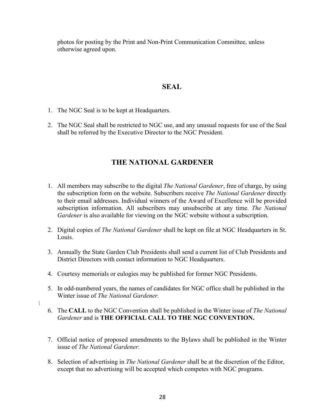photos for posting by the Print and Non-Print Communication Committee, unless otherwise agreed upon.

## **SEAL**

1. The NGC Seal is to be kept at Headquarters.

*\*

2. The NGC Seal shall be restricted to NGC use, and any unusual requests for use of the Seal shall be referred by the Executive Director to the NGC President.

# **THE NATIONAL GARDENER**

- 1. All members may subscribe to the digital *The National Gardener*, free of charge, by using the subscription form on the website. Subscribers receive *The National Gardener* directly to their email addresses. Individual winners of the Award of Excellence will be provided subscription information. All subscribers may unsubscribe at any time. *The National Gardener* is also available for viewing on the NGC website without a subscription.
- 2. Digital copies of *The National Gardener* shall be kept on file at NGC Headquarters in St. Louis.
- 3. Annually the State Garden Club Presidents shall send a current list of Club Presidents and District Directors with contact information to NGC Headquarters.
- 4. Courtesy memorials or eulogies may be published for former NGC Presidents.
- 5. In odd-numbered years, the names of candidates for NGC office shall be published in the Winter issue of *The National Gardener.*
- 6. The **CALL** to the NGC Convention shall be published in the Winter issue of *The National Gardener* and is **THE OFFICIAL CALL TO THE NGC CONVENTION.**
- 7. Official notice of proposed amendments to the Bylaws shall be published in the Winter issue of *The National Gardener.*
- 8. Selection of advertising in *The National Gardener* shall be at the discretion of the Editor, except that no advertising will be accepted which competes with NGC programs.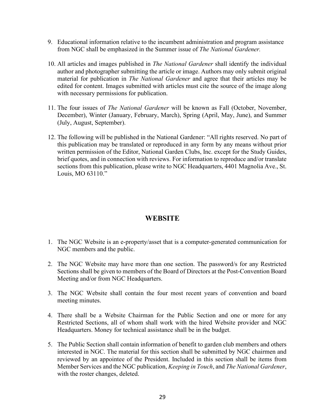- 9. Educational information relative to the incumbent administration and program assistance from NGC shall be emphasized in the Summer issue of *The National Gardener.*
- 10. All articles and images published in *The National Gardener* shall identify the individual author and photographer submitting the article or image. Authors may only submit original material for publication in *The National Gardener* and agree that their articles may be edited for content. Images submitted with articles must cite the source of the image along with necessary permissions for publication.
- 11. The four issues of *The National Gardener* will be known as Fall (October, November, December), Winter (January, February, March), Spring (April, May, June), and Summer (July, August, September).
- 12. The following will be published in the National Gardener: "All rights reserved. No part of this publication may be translated or reproduced in any form by any means without prior written permission of the Editor, National Garden Clubs, Inc. except for the Study Guides, brief quotes, and in connection with reviews. For information to reproduce and/or translate sections from this publication, please write to NGC Headquarters, 4401 Magnolia Ave., St. Louis, MO 63110."

# **WEBSITE**

- 1. The NGC Website is an e-property/asset that is a computer-generated communication for NGC members and the public.
- 2. The NGC Website may have more than one section. The password/s for any Restricted Sections shall be given to members of the Board of Directors at the Post-Convention Board Meeting and/or from NGC Headquarters.
- 3. The NGC Website shall contain the four most recent years of convention and board meeting minutes.
- 4. There shall be a Website Chairman for the Public Section and one or more for any Restricted Sections, all of whom shall work with the hired Website provider and NGC Headquarters. Money for technical assistance shall be in the budget.
- 5. The Public Section shall contain information of benefit to garden club members and others interested in NGC. The material for this section shall be submitted by NGC chairmen and reviewed by an appointee of the President. Included in this section shall be items from Member Services and the NGC publication, *Keeping in Touch*, and *The National Gardener*, with the roster changes, deleted.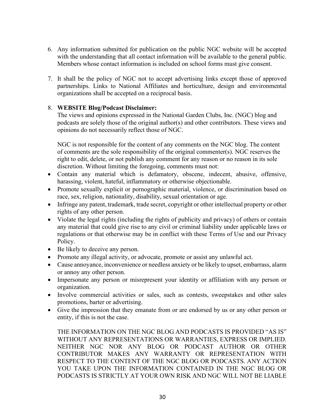- 6. Any information submitted for publication on the public NGC website will be accepted with the understanding that all contact information will be available to the general public. Members whose contact information is included on school forms must give consent.
- 7. It shall be the policy of NGC not to accept advertising links except those of approved partnerships. Links to National Affiliates and horticulture, design and environmental organizations shall be accepted on a reciprocal basis.

## 8. **WEBSITE Blog/Podcast Disclaimer:**

The views and opinions expressed in the National Garden Clubs, Inc. (NGC) blog and podcasts are solely those of the original author(s) and other contributors. These views and opinions do not necessarily reflect those of NGC.

NGC is not responsible for the content of any comments on the NGC blog. The content of comments are the sole responsibility of the original commenter(s). NGC reserves the right to edit, delete, or not publish any comment for any reason or no reason in its sole discretion. Without limiting the foregoing, comments must not:

- Contain any material which is defamatory, obscene, indecent, abusive, offensive, harassing, violent, hateful, inflammatory or otherwise objectionable.
- Promote sexually explicit or pornographic material, violence, or discrimination based on race, sex, religion, nationality, disability, sexual orientation or age.
- Infringe any patent, trademark, trade secret, copyright or other intellectual property or other rights of any other person.
- Violate the legal rights (including the rights of publicity and privacy) of others or contain any material that could give rise to any civil or criminal liability under applicable laws or regulations or that otherwise may be in conflict with these Terms of Use and our Privacy Policy.
- Be likely to deceive any person.
- Promote any illegal activity, or advocate, promote or assist any unlawful act.
- Cause annoyance, inconvenience or needless anxiety or be likely to upset, embarrass, alarm or annoy any other person.
- Impersonate any person or misrepresent your identity or affiliation with any person or organization.
- Involve commercial activities or sales, such as contests, sweepstakes and other sales promotions, barter or advertising.
- Give the impression that they emanate from or are endorsed by us or any other person or entity, if this is not the case.

THE INFORMATION ON THE NGC BLOG AND PODCASTS IS PROVIDED "AS IS" WITHOUT ANY REPRESENTATIONS OR WARRANTIES, EXPRESS OR IMPLIED. NEITHER NGC NOR ANY BLOG OR PODCAST AUTHOR OR OTHER CONTRIBUTOR MAKES ANY WARRANTY OR REPRESENTATION WITH RESPECT TO THE CONTENT OF THE NGC BLOG OR PODCASTS. ANY ACTION YOU TAKE UPON THE INFORMATION CONTAINED IN THE NGC BLOG OR PODCASTS IS STRICTLY AT YOUR OWN RISK AND NGC WILL NOT BE LIABLE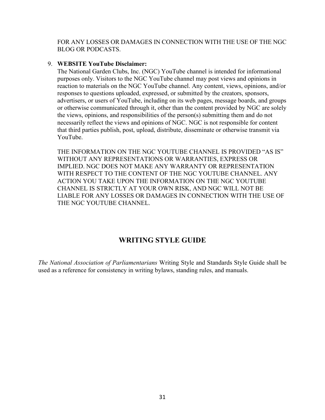FOR ANY LOSSES OR DAMAGES IN CONNECTION WITH THE USE OF THE NGC BLOG OR PODCASTS.

#### 9. **WEBSITE YouTube Disclaimer:**

The National Garden Clubs, Inc. (NGC) YouTube channel is intended for informational purposes only. Visitors to the NGC YouTube channel may post views and opinions in reaction to materials on the NGC YouTube channel. Any content, views, opinions, and/or responses to questions uploaded, expressed, or submitted by the creators, sponsors, advertisers, or users of YouTube, including on its web pages, message boards, and groups or otherwise communicated through it, other than the content provided by NGC are solely the views, opinions, and responsibilities of the person(s) submitting them and do not necessarily reflect the views and opinions of NGC. NGC is not responsible for content that third parties publish, post, upload, distribute, disseminate or otherwise transmit via YouTube.

THE INFORMATION ON THE NGC YOUTUBE CHANNEL IS PROVIDED "AS IS" WITHOUT ANY REPRESENTATIONS OR WARRANTIES, EXPRESS OR IMPLIED. NGC DOES NOT MAKE ANY WARRANTY OR REPRESENTATION WITH RESPECT TO THE CONTENT OF THE NGC YOUTUBE CHANNEL. ANY ACTION YOU TAKE UPON THE INFORMATION ON THE NGC YOUTUBE CHANNEL IS STRICTLY AT YOUR OWN RISK, AND NGC WILL NOT BE LIABLE FOR ANY LOSSES OR DAMAGES IN CONNECTION WITH THE USE OF THE NGC YOUTUBE CHANNEL.

# **WRITING STYLE GUIDE**

*The National Association of Parliamentarians* Writing Style and Standards Style Guide shall be used as a reference for consistency in writing bylaws, standing rules, and manuals.